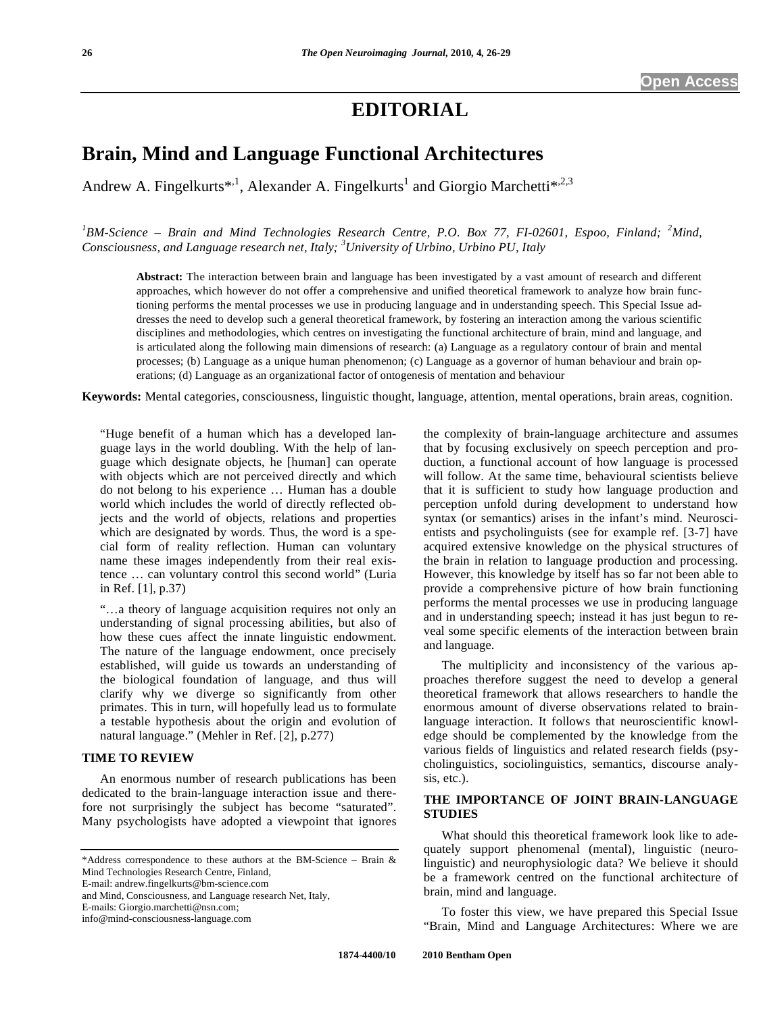# **EDITORIAL**

# **Brain, Mind and Language Functional Architectures**

Andrew A. Fingelkurts\*<sup>1</sup>, Alexander A. Fingelkurts<sup>1</sup> and Giorgio Marchetti\*<sup>2,23</sup>

<sup>1</sup>BM-Science – Brain and Mind Technologies Research Centre, P.O. Box 77, FI-02601, Espoo, Finland; <sup>2</sup>Mind, *Consciousness, and Language research net, Italy; 3 University of Urbino, Urbino PU, Italy* 

**Abstract:** The interaction between brain and language has been investigated by a vast amount of research and different approaches, which however do not offer a comprehensive and unified theoretical framework to analyze how brain functioning performs the mental processes we use in producing language and in understanding speech. This Special Issue addresses the need to develop such a general theoretical framework, by fostering an interaction among the various scientific disciplines and methodologies, which centres on investigating the functional architecture of brain, mind and language, and is articulated along the following main dimensions of research: (a) Language as a regulatory contour of brain and mental processes; (b) Language as a unique human phenomenon; (c) Language as a governor of human behaviour and brain operations; (d) Language as an organizational factor of ontogenesis of mentation and behaviour

**Keywords:** Mental categories, consciousness, linguistic thought, language, attention, mental operations, brain areas, cognition.

 "Huge benefit of a human which has a developed language lays in the world doubling. With the help of language which designate objects, he [human] can operate with objects which are not perceived directly and which do not belong to his experience … Human has a double world which includes the world of directly reflected objects and the world of objects, relations and properties which are designated by words. Thus, the word is a special form of reality reflection. Human can voluntary name these images independently from their real existence … can voluntary control this second world" (Luria in Ref. [1], p.37)

 "…a theory of language acquisition requires not only an understanding of signal processing abilities, but also of how these cues affect the innate linguistic endowment. The nature of the language endowment, once precisely established, will guide us towards an understanding of the biological foundation of language, and thus will clarify why we diverge so significantly from other primates. This in turn, will hopefully lead us to formulate a testable hypothesis about the origin and evolution of natural language." (Mehler in Ref. [2], p.277)

### **TIME TO REVIEW**

 An enormous number of research publications has been dedicated to the brain-language interaction issue and therefore not surprisingly the subject has become "saturated". Many psychologists have adopted a viewpoint that ignores

\*Address correspondence to these authors at the BM-Science – Brain & Mind Technologies Research Centre, Finland,

E-mail: andrew.fingelkurts@bm-science.com

and Mind, Consciousness, and Language research Net, Italy,

E-mails: Giorgio.marchetti@nsn.com;

info@mind-consciousness-language.com

the complexity of brain-language architecture and assumes that by focusing exclusively on speech perception and production, a functional account of how language is processed will follow. At the same time, behavioural scientists believe that it is sufficient to study how language production and perception unfold during development to understand how syntax (or semantics) arises in the infant's mind. Neuroscientists and psycholinguists (see for example ref. [3-7] have acquired extensive knowledge on the physical structures of the brain in relation to language production and processing. However, this knowledge by itself has so far not been able to provide a comprehensive picture of how brain functioning performs the mental processes we use in producing language and in understanding speech; instead it has just begun to reveal some specific elements of the interaction between brain and language.

 The multiplicity and inconsistency of the various approaches therefore suggest the need to develop a general theoretical framework that allows researchers to handle the enormous amount of diverse observations related to brainlanguage interaction. It follows that neuroscientific knowledge should be complemented by the knowledge from the various fields of linguistics and related research fields (psycholinguistics, sociolinguistics, semantics, discourse analysis, etc.).

## **THE IMPORTANCE OF JOINT BRAIN-LANGUAGE STUDIES**

 What should this theoretical framework look like to adequately support phenomenal (mental), linguistic (neurolinguistic) and neurophysiologic data? We believe it should be a framework centred on the functional architecture of brain, mind and language.

 To foster this view, we have prepared this Special Issue "Brain, Mind and Language Architectures: Where we are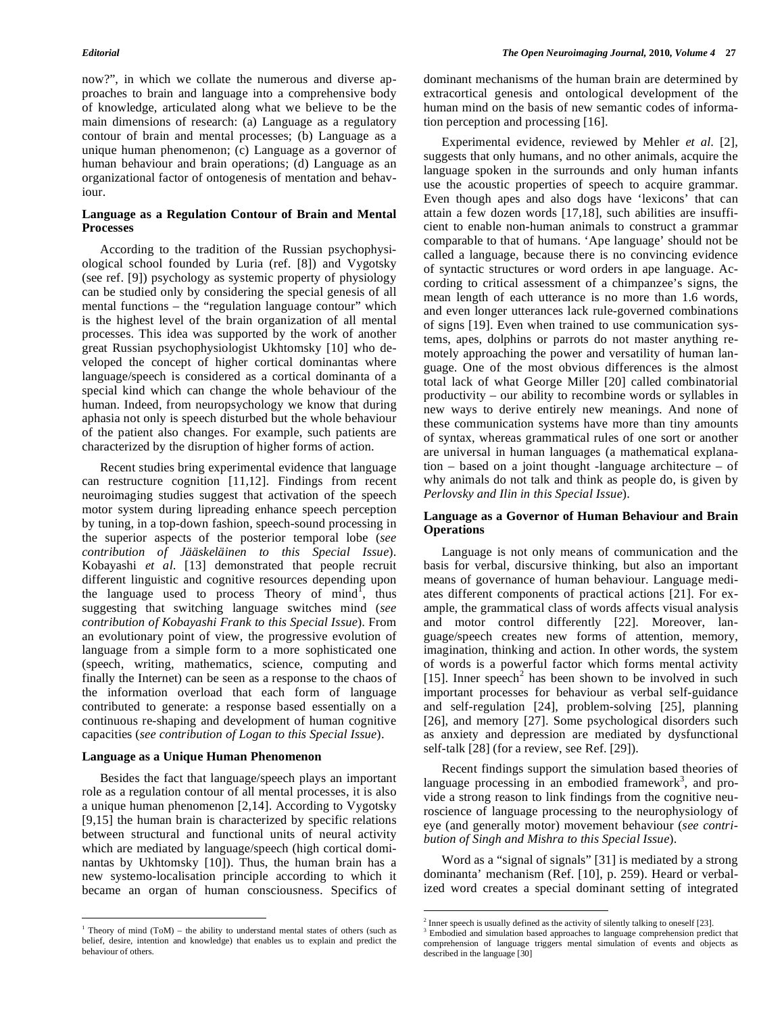now?", in which we collate the numerous and diverse approaches to brain and language into a comprehensive body of knowledge, articulated along what we believe to be the main dimensions of research: (a) Language as a regulatory contour of brain and mental processes; (b) Language as a unique human phenomenon; (c) Language as a governor of human behaviour and brain operations; (d) Language as an organizational factor of ontogenesis of mentation and behaviour.

### **Language as a Regulation Contour of Brain and Mental Processes**

 According to the tradition of the Russian psychophysiological school founded by Luria (ref. [8]) and Vygotsky (see ref. [9]) psychology as systemic property of physiology can be studied only by considering the special genesis of all mental functions – the "regulation language contour" which is the highest level of the brain organization of all mental processes. This idea was supported by the work of another great Russian psychophysiologist Ukhtomsky [10] who developed the concept of higher cortical dominantas where language/speech is considered as a cortical dominanta of a special kind which can change the whole behaviour of the human. Indeed, from neuropsychology we know that during aphasia not only is speech disturbed but the whole behaviour of the patient also changes. For example, such patients are characterized by the disruption of higher forms of action.

 Recent studies bring experimental evidence that language can restructure cognition [11,12]. Findings from recent neuroimaging studies suggest that activation of the speech motor system during lipreading enhance speech perception by tuning, in a top-down fashion, speech-sound processing in the superior aspects of the posterior temporal lobe (*see contribution of Jääskeläinen to this Special Issue*). Kobayashi *et al*. [13] demonstrated that people recruit different linguistic and cognitive resources depending upon the language used to process Theory of  $mind$ , thus suggesting that switching language switches mind (*see contribution of Kobayashi Frank to this Special Issue*). From an evolutionary point of view, the progressive evolution of language from a simple form to a more sophisticated one (speech, writing, mathematics, science, computing and finally the Internet) can be seen as a response to the chaos of the information overload that each form of language contributed to generate: a response based essentially on a continuous re-shaping and development of human cognitive capacities (*see contribution of Logan to this Special Issue*).

### **Language as a Unique Human Phenomenon**

<u>.</u>

 Besides the fact that language/speech plays an important role as a regulation contour of all mental processes, it is also a unique human phenomenon [2,14]. According to Vygotsky [9,15] the human brain is characterized by specific relations between structural and functional units of neural activity which are mediated by language/speech (high cortical dominantas by Ukhtomsky [10]). Thus, the human brain has a new systemo-localisation principle according to which it became an organ of human consciousness. Specifics of dominant mechanisms of the human brain are determined by extracortical genesis and ontological development of the human mind on the basis of new semantic codes of information perception and processing [16].

 Experimental evidence, reviewed by Mehler *et al*. [2], suggests that only humans, and no other animals, acquire the language spoken in the surrounds and only human infants use the acoustic properties of speech to acquire grammar. Even though apes and also dogs have 'lexicons' that can attain a few dozen words [17,18], such abilities are insufficient to enable non-human animals to construct a grammar comparable to that of humans. 'Ape language' should not be called a language, because there is no convincing evidence of syntactic structures or word orders in ape language. According to critical assessment of a chimpanzee's signs, the mean length of each utterance is no more than 1.6 words, and even longer utterances lack rule-governed combinations of signs [19]. Even when trained to use communication systems, apes, dolphins or parrots do not master anything remotely approaching the power and versatility of human language. One of the most obvious differences is the almost total lack of what George Miller [20] called combinatorial productivity – our ability to recombine words or syllables in new ways to derive entirely new meanings. And none of these communication systems have more than tiny amounts of syntax, whereas grammatical rules of one sort or another are universal in human languages (a mathematical explanation – based on a joint thought -language architecture – of why animals do not talk and think as people do, is given by *Perlovsky and Ilin in this Special Issue*).

## **Language as a Governor of Human Behaviour and Brain Operations**

 Language is not only means of communication and the basis for verbal, discursive thinking, but also an important means of governance of human behaviour. Language mediates different components of practical actions [21]. For example, the grammatical class of words affects visual analysis and motor control differently [22]. Moreover, language/speech creates new forms of attention, memory, imagination, thinking and action. In other words, the system of words is a powerful factor which forms mental activity [15]. Inner speech<sup>2</sup> has been shown to be involved in such important processes for behaviour as verbal self-guidance and self-regulation [24], problem-solving [25], planning [26], and memory [27]. Some psychological disorders such as anxiety and depression are mediated by dysfunctional self-talk [28] (for a review, see Ref. [29]).

 Recent findings support the simulation based theories of language processing in an embodied framework<sup>3</sup>, and provide a strong reason to link findings from the cognitive neuroscience of language processing to the neurophysiology of eye (and generally motor) movement behaviour (*see contribution of Singh and Mishra to this Special Issue*).

 Word as a "signal of signals" [31] is mediated by a strong dominanta' mechanism (Ref. [10], p. 259). Heard or verbalized word creates a special dominant setting of integrated

 $\overline{a}$ 

 $1$  Theory of mind (ToM) – the ability to understand mental states of others (such as belief, desire, intention and knowledge) that enables us to explain and predict the behaviour of others.

 $2^{2}$  Inner speech is usually defined as the activity of silently talking to oneself [23].

<sup>&</sup>lt;sup>3</sup> Embodied and simulation based approaches to language comprehension predict that comprehension of language triggers mental simulation of events and objects as described in the language [30]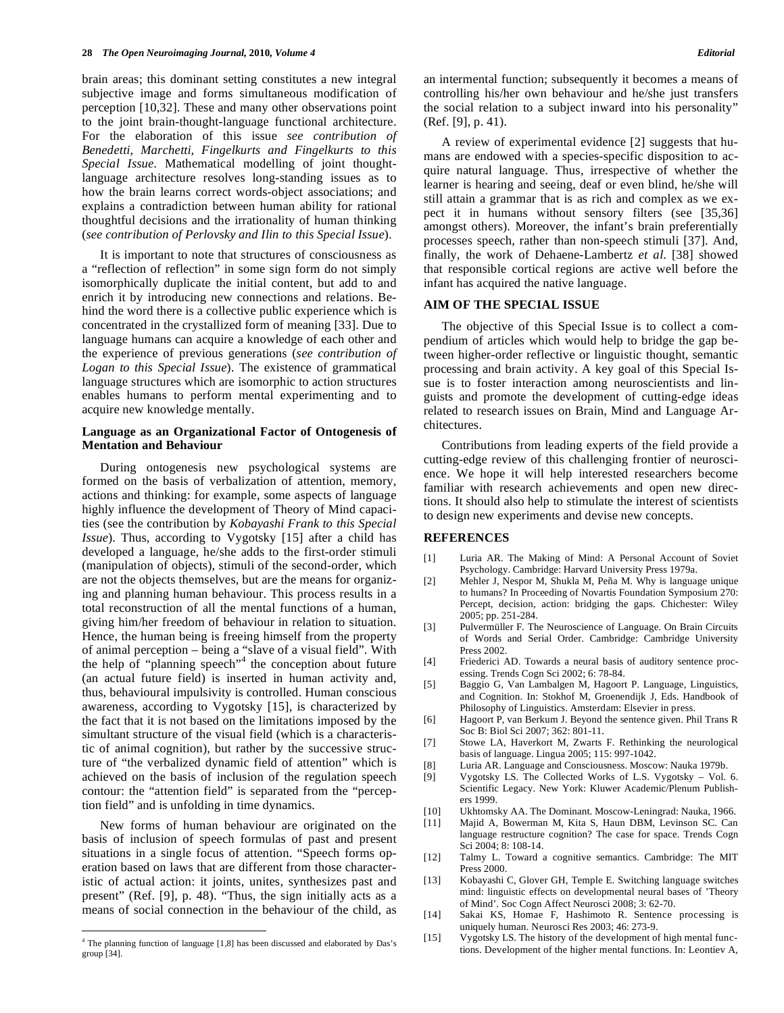brain areas; this dominant setting constitutes a new integral subjective image and forms simultaneous modification of perception [10,32]. These and many other observations point to the joint brain-thought-language functional architecture. For the elaboration of this issue *see contribution of Benedetti, Marchetti, Fingelkurts and Fingelkurts to this Special Issue*. Mathematical modelling of joint thoughtlanguage architecture resolves long-standing issues as to how the brain learns correct words-object associations; and explains a contradiction between human ability for rational thoughtful decisions and the irrationality of human thinking (*see contribution of Perlovsky and Ilin to this Special Issue*).

 It is important to note that structures of consciousness as a "reflection of reflection" in some sign form do not simply isomorphically duplicate the initial content, but add to and enrich it by introducing new connections and relations. Behind the word there is a collective public experience which is concentrated in the crystallized form of meaning [33]. Due to language humans can acquire a knowledge of each other and the experience of previous generations (*see contribution of Logan to this Special Issue*). The existence of grammatical language structures which are isomorphic to action structures enables humans to perform mental experimenting and to acquire new knowledge mentally.

### **Language as an Organizational Factor of Ontogenesis of Mentation and Behaviour**

 During ontogenesis new psychological systems are formed on the basis of verbalization of attention, memory, actions and thinking: for example, some aspects of language highly influence the development of Theory of Mind capacities (see the contribution by *Kobayashi Frank to this Special Issue*). Thus, according to Vygotsky [15] after a child has developed a language, he/she adds to the first-order stimuli (manipulation of objects), stimuli of the second-order, which are not the objects themselves, but are the means for organizing and planning human behaviour. This process results in a total reconstruction of all the mental functions of a human, giving him/her freedom of behaviour in relation to situation. Hence, the human being is freeing himself from the property of animal perception – being a "slave of a visual field". With the help of "planning speech"<sup>4</sup> the conception about future (an actual future field) is inserted in human activity and, thus, behavioural impulsivity is controlled. Human conscious awareness, according to Vygotsky [15], is characterized by the fact that it is not based on the limitations imposed by the simultant structure of the visual field (which is a characteristic of animal cognition), but rather by the successive structure of "the verbalized dynamic field of attention" which is achieved on the basis of inclusion of the regulation speech contour: the "attention field" is separated from the "perception field" and is unfolding in time dynamics.

 New forms of human behaviour are originated on the basis of inclusion of speech formulas of past and present situations in a single focus of attention. "Speech forms operation based on laws that are different from those characteristic of actual action: it joints, unites, synthesizes past and present" (Ref. [9], p. 48). "Thus, the sign initially acts as a means of social connection in the behaviour of the child, as

1

an intermental function; subsequently it becomes a means of controlling his/her own behaviour and he/she just transfers the social relation to a subject inward into his personality" (Ref. [9], p. 41).

 A review of experimental evidence [2] suggests that humans are endowed with a species-specific disposition to acquire natural language. Thus, irrespective of whether the learner is hearing and seeing, deaf or even blind, he/she will still attain a grammar that is as rich and complex as we expect it in humans without sensory filters (see [35,36] amongst others). Moreover, the infant's brain preferentially processes speech, rather than non-speech stimuli [37]. And, finally, the work of Dehaene-Lambertz *et al*. [38] showed that responsible cortical regions are active well before the infant has acquired the native language.

### **AIM OF THE SPECIAL ISSUE**

 The objective of this Special Issue is to collect a compendium of articles which would help to bridge the gap between higher-order reflective or linguistic thought, semantic processing and brain activity. A key goal of this Special Issue is to foster interaction among neuroscientists and linguists and promote the development of cutting-edge ideas related to research issues on Brain, Mind and Language Architectures.

 Contributions from leading experts of the field provide a cutting-edge review of this challenging frontier of neuroscience. We hope it will help interested researchers become familiar with research achievements and open new directions. It should also help to stimulate the interest of scientists to design new experiments and devise new concepts.

#### **REFERENCES**

- [1] Luria AR. The Making of Mind: A Personal Account of Soviet Psychology. Cambridge: Harvard University Press 1979a.
- [2] Mehler J, Nespor M, Shukla M, Peña M. Why is language unique to humans? In Proceeding of Novartis Foundation Symposium 270: Percept, decision, action: bridging the gaps. Chichester: Wiley 2005; pp. 251-284.
- [3] Pulvermüller F. The Neuroscience of Language. On Brain Circuits of Words and Serial Order. Cambridge: Cambridge University Press 2002.
- [4] Friederici AD. Towards a neural basis of auditory sentence processing. Trends Cogn Sci 2002; 6: 78-84.
- [5] Baggio G, Van Lambalgen M, Hagoort P. Language, Linguistics, and Cognition. In: Stokhof M, Groenendijk J, Eds. Handbook of Philosophy of Linguistics. Amsterdam: Elsevier in press.
- [6] Hagoort P, van Berkum J. Beyond the sentence given. Phil Trans R Soc B: Biol Sci 2007; 362: 801-11.
- [7] Stowe LA, Haverkort M, Zwarts F. Rethinking the neurological basis of language. Lingua 2005; 115: 997-1042.
- [8] Luria AR. Language and Consciousness. Moscow: Nauka 1979b.
- Vygotsky LS. The Collected Works of L.S. Vygotsky Vol. 6. Scientific Legacy. New York: Kluwer Academic/Plenum Publishers 1999.
- [10] Ukhtomsky AA. The Dominant. Moscow-Leningrad: Nauka, 1966.
- [11] Majid A, Bowerman M, Kita S, Haun DBM, Levinson SC. Can language restructure cognition? The case for space. Trends Cogn Sci 2004; 8: 108-14.
- [12] Talmy L. Toward a cognitive semantics. Cambridge: The MIT Press 2000.
- [13] Kobayashi C, Glover GH, Temple E. Switching language switches mind: linguistic effects on developmental neural bases of 'Theory of Mind'. Soc Cogn Affect Neurosci 2008; 3: 62-70.
- [14] Sakai KS, Homae F, Hashimoto R. Sentence processing is uniquely human. Neurosci Res 2003; 46: 273-9.
- [15] Vygotsky LS. The history of the development of high mental functions. Development of the higher mental functions. In: Leontiev A,

<sup>&</sup>lt;sup>4</sup> The planning function of language [1,8] has been discussed and elaborated by Das's group [34].